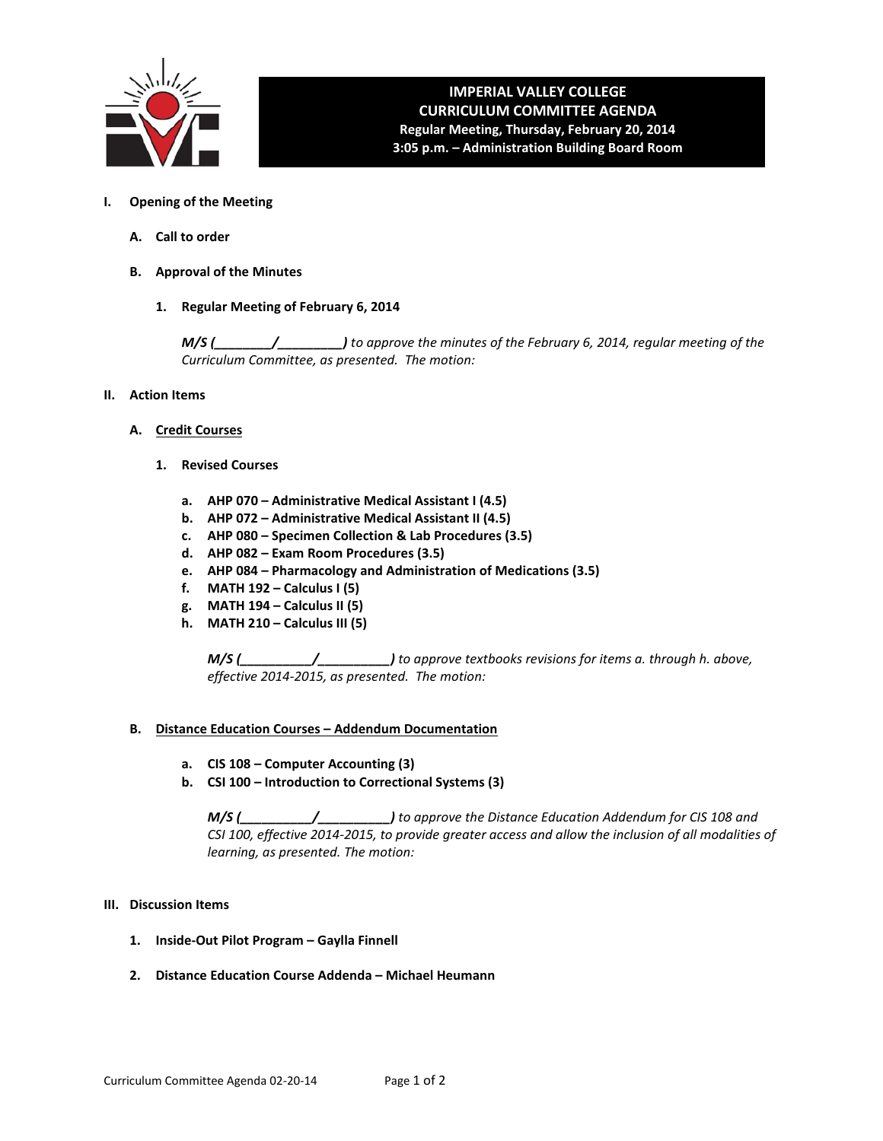

# **IMPERIAL VALLEY COLLEGE CURRICULUM COMMITTEE AGENDA Regular Meeting, Thursday, February 20, 2014 3:05 p.m. – Administration Building Board Room**

- **I. Opening of the Meeting**
	- **A. Call to order**
	- **B. Approval of the Minutes**
		- **1. Regular Meeting of February 6, 2014**

*M/S (\_\_\_\_\_\_\_\_/\_\_\_\_\_\_\_\_\_) to approve the minutes of the February 6, 2014, regular meeting of the Curriculum Committee, as presented. The motion:* 

- **II. Action Items**
	- **A. Credit Courses**
		- **1. Revised Courses**
			- **a. AHP 070 – Administrative Medical Assistant I (4.5)**
			- **b. AHP 072 – Administrative Medical Assistant II (4.5)**
			- **c. AHP 080 – Specimen Collection & Lab Procedures (3.5)**
			- **d. AHP 082 – Exam Room Procedures (3.5)**
			- **e. AHP 084 – Pharmacology and Administration of Medications (3.5)**
			- **f. MATH 192 – Calculus I (5)**
			- **g. MATH 194 – Calculus II (5)**
			- **h. MATH 210 – Calculus III (5)**

*M/S (\_\_\_\_\_\_\_\_\_\_/\_\_\_\_\_\_\_\_\_\_) to approve textbooks revisions for items a. through h. above, effective 2014-2015, as presented. The motion:*

#### **B. Distance Education Courses – Addendum Documentation**

- **a. CIS 108 – Computer Accounting (3)**
- **b. CSI 100 – Introduction to Correctional Systems (3)**

*M/S (\_\_\_\_\_\_\_\_\_\_/\_\_\_\_\_\_\_\_\_\_) to approve the Distance Education Addendum for CIS 108 and CSI 100, effective 2014-2015, to provide greater access and allow the inclusion of all modalities of learning, as presented. The motion:*

#### **III. Discussion Items**

- **1. Inside-Out Pilot Program – Gaylla Finnell**
- **2. Distance Education Course Addenda – Michael Heumann**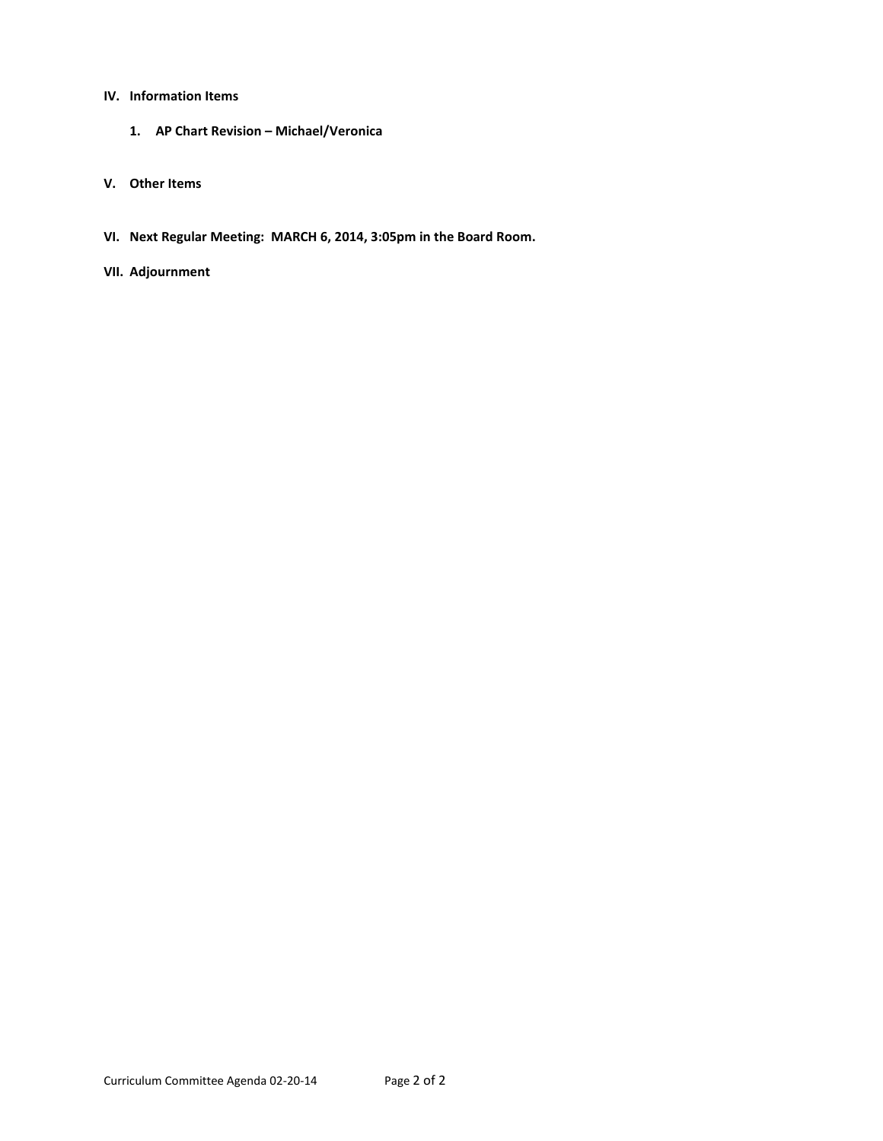# **IV. Information Items**

- **1. AP Chart Revision – Michael/Veronica**
- **V. Other Items**
- **VI. Next Regular Meeting: MARCH 6, 2014, 3:05pm in the Board Room.**

# **VII. Adjournment**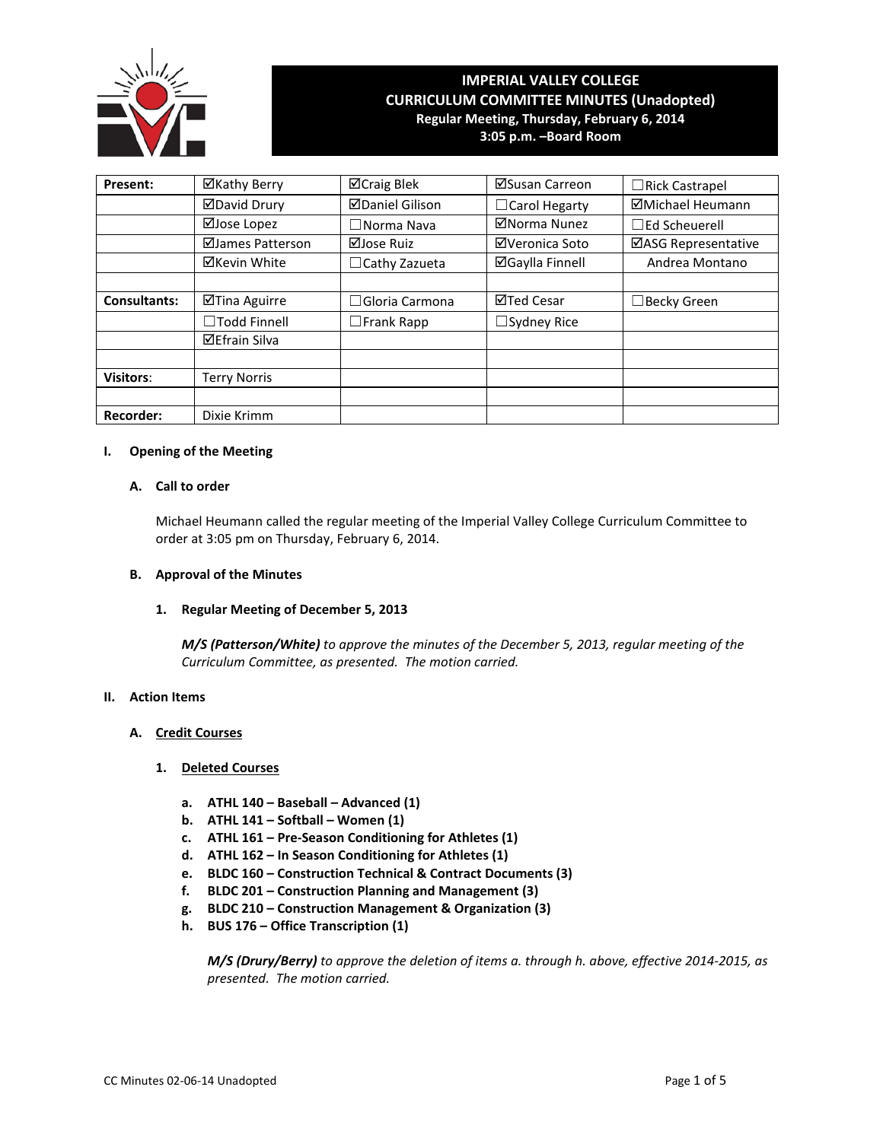

# **IMPERIAL VALLEY COLLEGE CURRICULUM COMMITTEE MINUTES (Unadopted) Regular Meeting, Thursday, February 6, 2014**

**3:05 p.m. –Board Room**

| Present:            | ⊠Kathy Berry         | ⊠Craig Blek            | ⊠Susan Carreon         | $\Box$ Rick Castrapel     |
|---------------------|----------------------|------------------------|------------------------|---------------------------|
|                     | <b>ØDavid Drury</b>  | <b>ØDaniel Gilison</b> | $\Box$ Carol Hegarty   | ⊠Michael Heumann          |
|                     | ⊠Jose Lopez          | $\square$ Norma Nava   | ⊠Norma Nunez           | $\sqsupset$ Ed Scheuerell |
|                     | ⊠James Patterson     | ⊠Jose Ruiz             | ⊠Veronica Soto         | ⊠ASG Representative       |
|                     | ⊠Kevin White         | $\Box$ Cathy Zazueta   | <b>⊠Gaylla Finnell</b> | Andrea Montano            |
|                     |                      |                        |                        |                           |
| <b>Consultants:</b> | ⊠Tina Aguirre        | $\Box$ Gloria Carmona  | ⊠Ted Cesar             | ∃Becky Green              |
|                     | $\Box$ Todd Finnell  | $\Box$ Frank Rapp      | $\Box$ Sydney Rice     |                           |
|                     | <b>⊠Efrain Silva</b> |                        |                        |                           |
|                     |                      |                        |                        |                           |
| <b>Visitors:</b>    | <b>Terry Norris</b>  |                        |                        |                           |
|                     |                      |                        |                        |                           |
| <b>Recorder:</b>    | Dixie Krimm          |                        |                        |                           |

### **I. Opening of the Meeting**

# **A. Call to order**

Michael Heumann called the regular meeting of the Imperial Valley College Curriculum Committee to order at 3:05 pm on Thursday, February 6, 2014.

### **B. Approval of the Minutes**

### **1. Regular Meeting of December 5, 2013**

*M/S (Patterson/White) to approve the minutes of the December 5, 2013, regular meeting of the Curriculum Committee, as presented. The motion carried.*

### **II. Action Items**

#### **A. Credit Courses**

#### **1. Deleted Courses**

- **a. ATHL 140 – Baseball – Advanced (1)**
- **b. ATHL 141 – Softball – Women (1)**
- **c. ATHL 161 – Pre-Season Conditioning for Athletes (1)**
- **d. ATHL 162 – In Season Conditioning for Athletes (1)**
- **e. BLDC 160 – Construction Technical & Contract Documents (3)**
- **f. BLDC 201 – Construction Planning and Management (3)**
- **g. BLDC 210 – Construction Management & Organization (3)**
- **h. BUS 176 – Office Transcription (1)**

*M/S (Drury/Berry) to approve the deletion of items a. through h. above, effective 2014-2015, as presented. The motion carried.*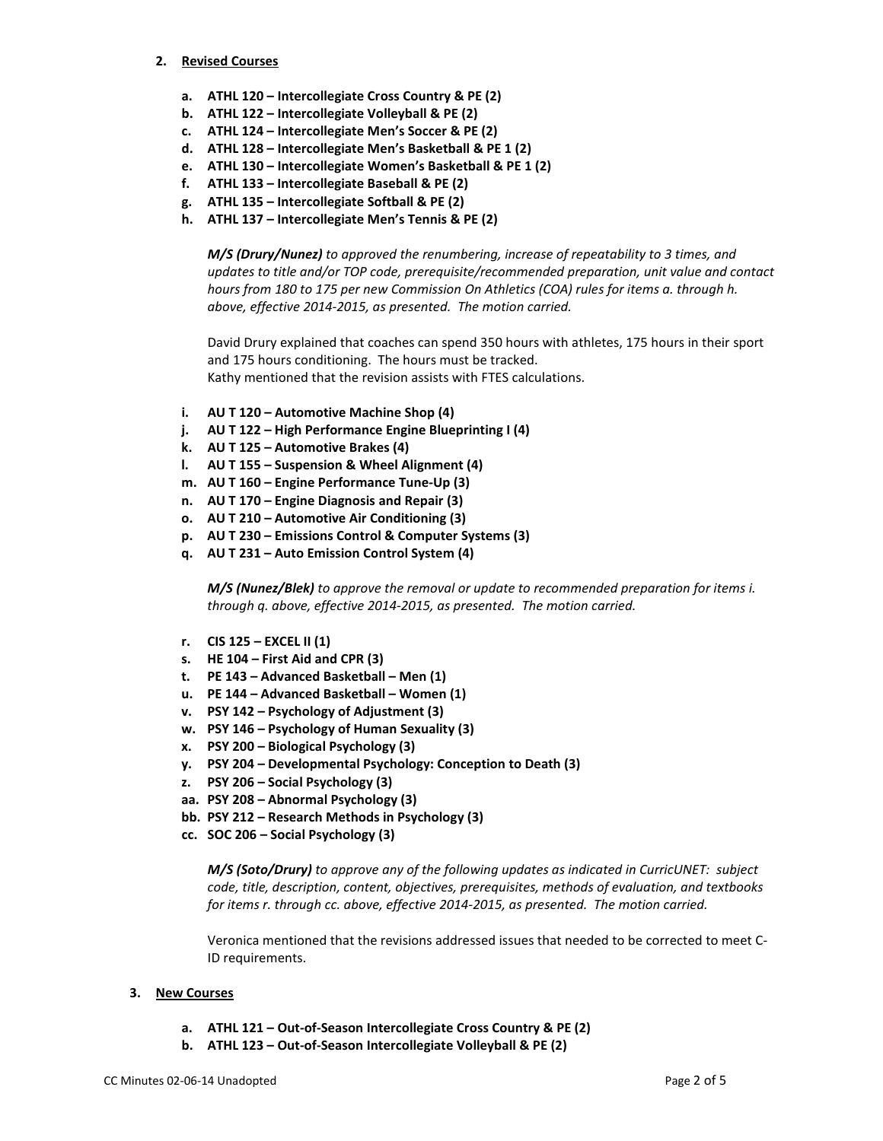#### **2. Revised Courses**

- **a. ATHL 120 – Intercollegiate Cross Country & PE (2)**
- **b. ATHL 122 – Intercollegiate Volleyball & PE (2)**
- **c. ATHL 124 – Intercollegiate Men's Soccer & PE (2)**
- **d. ATHL 128 – Intercollegiate Men's Basketball & PE 1 (2)**
- **e. ATHL 130 – Intercollegiate Women's Basketball & PE 1 (2)**
- **f. ATHL 133 – Intercollegiate Baseball & PE (2)**
- **g. ATHL 135 – Intercollegiate Softball & PE (2)**
- **h. ATHL 137 – Intercollegiate Men's Tennis & PE (2)**

*M/S (Drury/Nunez) to approved the renumbering, increase of repeatability to 3 times, and updates to title and/or TOP code, prerequisite/recommended preparation, unit value and contact hours from 180 to 175 per new Commission On Athletics (COA) rules for items a. through h. above, effective 2014-2015, as presented. The motion carried.*

David Drury explained that coaches can spend 350 hours with athletes, 175 hours in their sport and 175 hours conditioning. The hours must be tracked. Kathy mentioned that the revision assists with FTES calculations.

- **i. AU T 120 – Automotive Machine Shop (4)**
- **j. AU T 122 – High Performance Engine Blueprinting I (4)**
- **k. AU T 125 – Automotive Brakes (4)**
- **l. AU T 155 – Suspension & Wheel Alignment (4)**
- **m. AU T 160 – Engine Performance Tune-Up (3)**
- **n. AU T 170 – Engine Diagnosis and Repair (3)**
- **o. AU T 210 – Automotive Air Conditioning (3)**
- **p. AU T 230 – Emissions Control & Computer Systems (3)**
- **q. AU T 231 – Auto Emission Control System (4)**

*M/S (Nunez/Blek) to approve the removal or update to recommended preparation for items i. through q. above, effective 2014-2015, as presented. The motion carried.*

- **r. CIS 125 – EXCEL II (1)**
- **s. HE 104 – First Aid and CPR (3)**
- **t. PE 143 – Advanced Basketball – Men (1)**
- **u. PE 144 – Advanced Basketball – Women (1)**
- **v. PSY 142 – Psychology of Adjustment (3)**
- **w. PSY 146 – Psychology of Human Sexuality (3)**
- **x. PSY 200 – Biological Psychology (3)**
- **y. PSY 204 – Developmental Psychology: Conception to Death (3)**
- **z. PSY 206 – Social Psychology (3)**
- **aa. PSY 208 – Abnormal Psychology (3)**
- **bb. PSY 212 – Research Methods in Psychology (3)**
- **cc. SOC 206 – Social Psychology (3)**

*M/S (Soto/Drury) to approve any of the following updates as indicated in CurricUNET: subject code, title, description, content, objectives, prerequisites, methods of evaluation, and textbooks for items r. through cc. above, effective 2014-2015, as presented. The motion carried.*

Veronica mentioned that the revisions addressed issues that needed to be corrected to meet C-ID requirements.

#### **3. New Courses**

- **a. ATHL 121 – Out-of-Season Intercollegiate Cross Country & PE (2)**
- **b. ATHL 123 – Out-of-Season Intercollegiate Volleyball & PE (2)**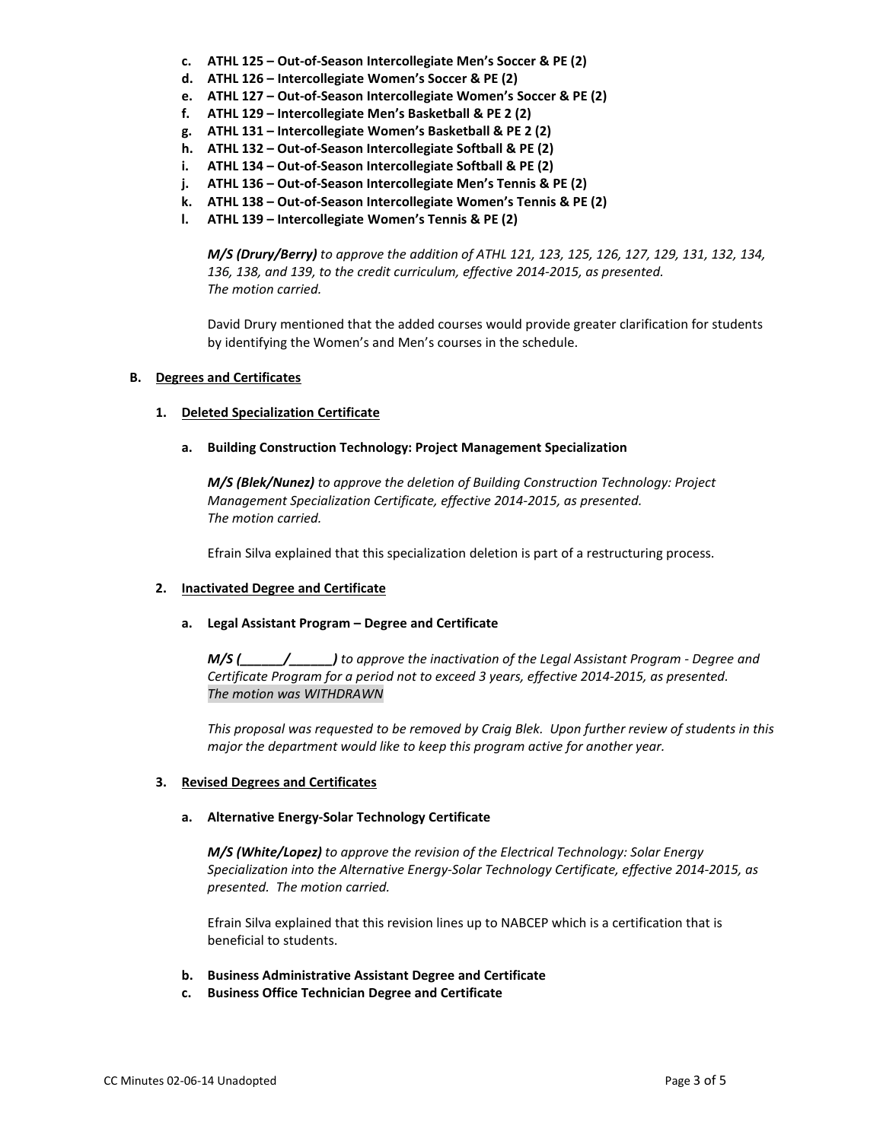- **c. ATHL 125 – Out-of-Season Intercollegiate Men's Soccer & PE (2)**
- **d. ATHL 126 – Intercollegiate Women's Soccer & PE (2)**
- **e. ATHL 127 – Out-of-Season Intercollegiate Women's Soccer & PE (2)**
- **f. ATHL 129 – Intercollegiate Men's Basketball & PE 2 (2)**
- **g. ATHL 131 – Intercollegiate Women's Basketball & PE 2 (2)**
- **h. ATHL 132 – Out-of-Season Intercollegiate Softball & PE (2)**
- **i. ATHL 134 – Out-of-Season Intercollegiate Softball & PE (2)**
- **j. ATHL 136 – Out-of-Season Intercollegiate Men's Tennis & PE (2)**
- **k. ATHL 138 – Out-of-Season Intercollegiate Women's Tennis & PE (2)**
- **l. ATHL 139 – Intercollegiate Women's Tennis & PE (2)**

*M/S (Drury/Berry) to approve the addition of ATHL 121, 123, 125, 126, 127, 129, 131, 132, 134, 136, 138, and 139, to the credit curriculum, effective 2014-2015, as presented. The motion carried.*

David Drury mentioned that the added courses would provide greater clarification for students by identifying the Women's and Men's courses in the schedule.

# **B. Degrees and Certificates**

# **1. Deleted Specialization Certificate**

**a. Building Construction Technology: Project Management Specialization**

*M/S (Blek/Nunez) to approve the deletion of Building Construction Technology: Project Management Specialization Certificate, effective 2014-2015, as presented. The motion carried.*

Efrain Silva explained that this specialization deletion is part of a restructuring process.

#### **2. Inactivated Degree and Certificate**

#### **a. Legal Assistant Program – Degree and Certificate**

*M/S (\_\_\_\_\_\_/\_\_\_\_\_\_) to approve the inactivation of the Legal Assistant Program - Degree and Certificate Program for a period not to exceed 3 years, effective 2014-2015, as presented. The motion was WITHDRAWN*

*This proposal was requested to be removed by Craig Blek. Upon further review of students in this major the department would like to keep this program active for another year.*

# **3. Revised Degrees and Certificates**

# **a. Alternative Energy-Solar Technology Certificate**

*M/S (White/Lopez) to approve the revision of the Electrical Technology: Solar Energy Specialization into the Alternative Energy-Solar Technology Certificate, effective 2014-2015, as presented. The motion carried.*

Efrain Silva explained that this revision lines up to NABCEP which is a certification that is beneficial to students.

- **b. Business Administrative Assistant Degree and Certificate**
- **c. Business Office Technician Degree and Certificate**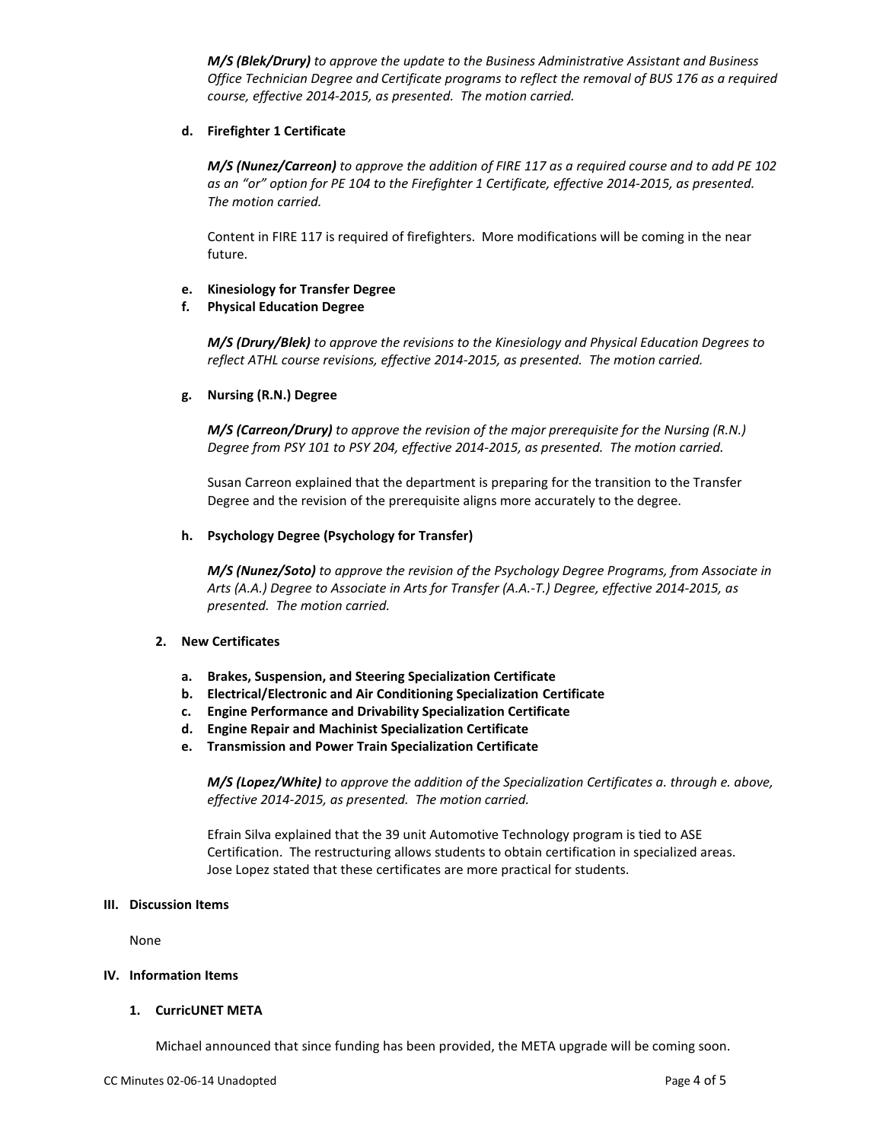*M/S (Blek/Drury) to approve the update to the Business Administrative Assistant and Business Office Technician Degree and Certificate programs to reflect the removal of BUS 176 as a required course, effective 2014-2015, as presented. The motion carried.*

### **d. Firefighter 1 Certificate**

*M/S (Nunez/Carreon) to approve the addition of FIRE 117 as a required course and to add PE 102 as an "or" option for PE 104 to the Firefighter 1 Certificate, effective 2014-2015, as presented. The motion carried.*

Content in FIRE 117 is required of firefighters. More modifications will be coming in the near future.

### **e. Kinesiology for Transfer Degree**

### **f. Physical Education Degree**

*M/S (Drury/Blek) to approve the revisions to the Kinesiology and Physical Education Degrees to reflect ATHL course revisions, effective 2014-2015, as presented. The motion carried.*

### **g. Nursing (R.N.) Degree**

*M/S (Carreon/Drury) to approve the revision of the major prerequisite for the Nursing (R.N.) Degree from PSY 101 to PSY 204, effective 2014-2015, as presented. The motion carried.*

Susan Carreon explained that the department is preparing for the transition to the Transfer Degree and the revision of the prerequisite aligns more accurately to the degree.

### **h. Psychology Degree (Psychology for Transfer)**

*M/S (Nunez/Soto) to approve the revision of the Psychology Degree Programs, from Associate in Arts (A.A.) Degree to Associate in Arts for Transfer (A.A.-T.) Degree, effective 2014-2015, as presented. The motion carried.*

# **2. New Certificates**

- **a. Brakes, Suspension, and Steering Specialization Certificate**
- **b. Electrical/Electronic and Air Conditioning Specialization Certificate**
- **c. Engine Performance and Drivability Specialization Certificate**
- **d. Engine Repair and Machinist Specialization Certificate**
- **e. Transmission and Power Train Specialization Certificate**

*M/S (Lopez/White) to approve the addition of the Specialization Certificates a. through e. above, effective 2014-2015, as presented. The motion carried.*

Efrain Silva explained that the 39 unit Automotive Technology program is tied to ASE Certification. The restructuring allows students to obtain certification in specialized areas. Jose Lopez stated that these certificates are more practical for students.

#### **III. Discussion Items**

None

#### **IV. Information Items**

#### **1. CurricUNET META**

Michael announced that since funding has been provided, the META upgrade will be coming soon.